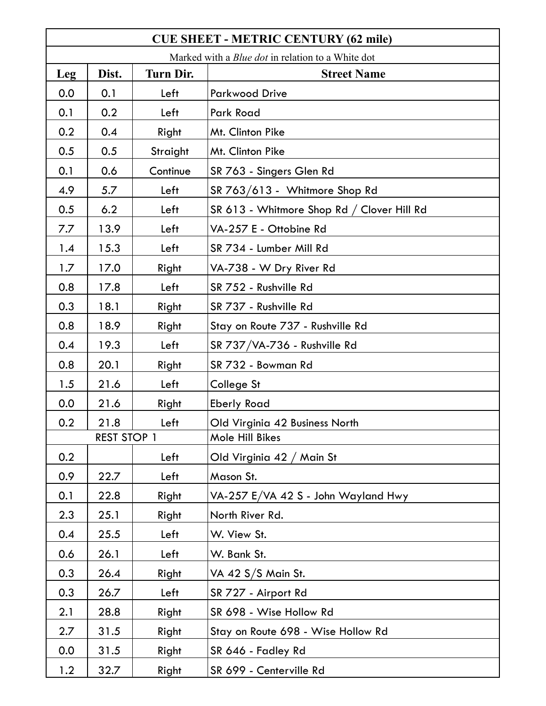| <b>CUE SHEET - METRIC CENTURY (62 mile)</b>              |                    |                  |                                            |  |  |
|----------------------------------------------------------|--------------------|------------------|--------------------------------------------|--|--|
| Marked with a <i>Blue dot</i> in relation to a White dot |                    |                  |                                            |  |  |
| Leg                                                      | Dist.              | <b>Turn Dir.</b> | <b>Street Name</b>                         |  |  |
| 0.0                                                      | 0.1                | Left             | <b>Parkwood Drive</b>                      |  |  |
| 0.1                                                      | 0.2                | Left             | Park Road                                  |  |  |
| 0.2                                                      | 0.4                | Right            | Mt. Clinton Pike                           |  |  |
| 0.5                                                      | 0.5                | Straight         | Mt. Clinton Pike                           |  |  |
| 0.1                                                      | 0.6                | Continue         | SR 763 - Singers Glen Rd                   |  |  |
| 4.9                                                      | 5.7                | Left             | SR 763/613 - Whitmore Shop Rd              |  |  |
| 0.5                                                      | 6.2                | Left             | SR 613 - Whitmore Shop Rd / Clover Hill Rd |  |  |
| 7.7                                                      | 13.9               | Left             | VA-257 E - Ottobine Rd                     |  |  |
| 1.4                                                      | 15.3               | Left             | SR 734 - Lumber Mill Rd                    |  |  |
| 1.7                                                      | 17.0               | Right            | VA-738 - W Dry River Rd                    |  |  |
| 0.8                                                      | 17.8               | Left             | SR 752 - Rushville Rd                      |  |  |
| 0.3                                                      | 18.1               | Right            | SR 737 - Rushville Rd                      |  |  |
| 0.8                                                      | 18.9               | Right            | Stay on Route 737 - Rushville Rd           |  |  |
| 0.4                                                      | 19.3               | Left             | SR 737/VA-736 - Rushville Rd               |  |  |
| 0.8                                                      | 20.1               | Right            | SR 732 - Bowman Rd                         |  |  |
| 1.5                                                      | 21.6               | Left             | College St                                 |  |  |
| 0.0                                                      | 21.6               | Right            | <b>Eberly Road</b>                         |  |  |
| 0.2                                                      | 21.8               | Left             | Old Virginia 42 Business North             |  |  |
|                                                          | <b>REST STOP 1</b> |                  | Mole Hill Bikes                            |  |  |
| 0.2                                                      |                    | Left             | Old Virginia 42 / Main St                  |  |  |
| 0.9                                                      | 22.7               | Left             | Mason St.                                  |  |  |
| 0.1                                                      | 22.8               | Right            | VA-257 E/VA 42 S - John Wayland Hwy        |  |  |
| 2.3                                                      | 25.1               | Right            | North River Rd.                            |  |  |
| 0.4                                                      | 25.5               | Left             | W. View St.                                |  |  |
| 0.6                                                      | 26.1               | Left             | W. Bank St.                                |  |  |
| 0.3                                                      | 26.4               | Right            | VA 42 S/S Main St.                         |  |  |
| 0.3                                                      | 26.7               | Left             | SR 727 - Airport Rd                        |  |  |
| 2.1                                                      | 28.8               | Right            | SR 698 - Wise Hollow Rd                    |  |  |
| 2.7                                                      | 31.5               | Right            | Stay on Route 698 - Wise Hollow Rd         |  |  |
| 0.0                                                      | 31.5               | Right            | SR 646 - Fadley Rd                         |  |  |
| 1.2                                                      | 32.7               | Right            | SR 699 - Centerville Rd                    |  |  |